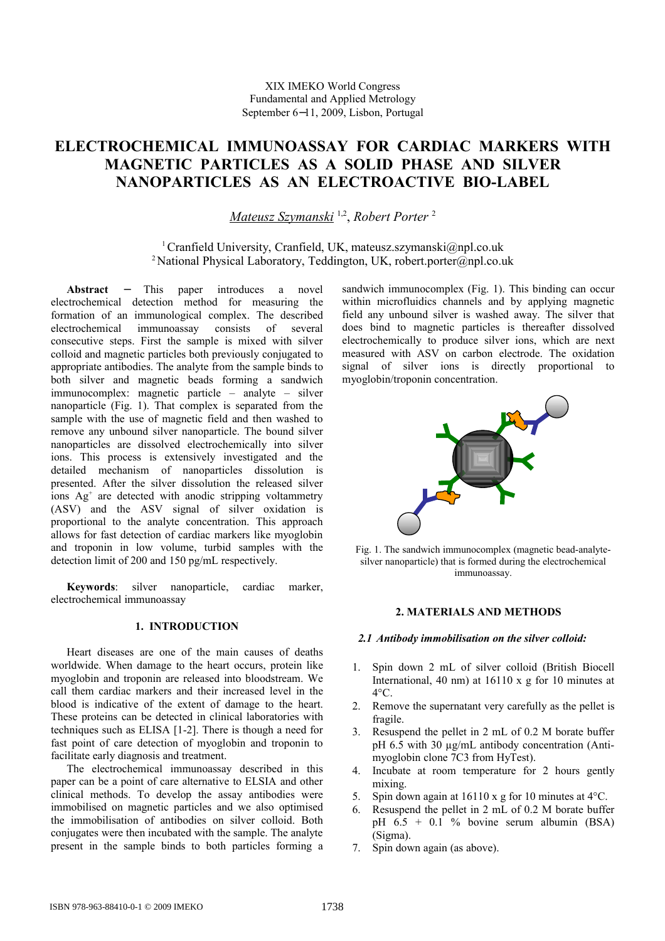# **ELECTROCHEMICAL IMMUNOASSAY FOR CARDIAC MARKERS WITH MAGNETIC PARTICLES AS A SOLID PHASE AND SILVER NANOPARTICLES AS AN ELECTROACTIVE BIO-LABEL**

*Mateusz Szymanski* 1,2 , *Robert Porter* <sup>2</sup>

<sup>1</sup> Cranfield University, Cranfield, UK, mateusz.szymanski@npl.co.uk <sup>2</sup> National Physical Laboratory, Teddington, UK, robert.porter@npl.co.uk

**Abstract** − This paper introduces a novel electrochemical detection method for measuring the formation of an immunological complex. The described electrochemical immunoassay consists of several consecutive steps. First the sample is mixed with silver colloid and magnetic particles both previously conjugated to appropriate antibodies. The analyte from the sample binds to both silver and magnetic beads forming a sandwich immunocomplex: magnetic particle – analyte – silver nanoparticle (Fig. 1). That complex is separated from the sample with the use of magnetic field and then washed to remove any unbound silver nanoparticle. The bound silver nanoparticles are dissolved electrochemically into silver ions. This process is extensively investigated and the detailed mechanism of nanoparticles dissolution is presented. After the silver dissolution the released silver ions Ag<sup>+</sup> are detected with anodic stripping voltammetry (ASV) and the ASV signal of silver oxidation is proportional to the analyte concentration. This approach allows for fast detection of cardiac markers like myoglobin and troponin in low volume, turbid samples with the detection limit of 200 and 150 pg/mL respectively.

**Keywords**: silver nanoparticle, cardiac marker, electrochemical immunoassay

# **1. INTRODUCTION**

Heart diseases are one of the main causes of deaths worldwide. When damage to the heart occurs, protein like myoglobin and troponin are released into bloodstream. We call them cardiac markers and their increased level in the blood is indicative of the extent of damage to the heart. These proteins can be detected in clinical laboratories with techniques such as ELISA [1-2]. There is though a need for fast point of care detection of myoglobin and troponin to facilitate early diagnosis and treatment.

The electrochemical immunoassay described in this paper can be a point of care alternative to ELSIA and other clinical methods. To develop the assay antibodies were immobilised on magnetic particles and we also optimised the immobilisation of antibodies on silver colloid. Both conjugates were then incubated with the sample. The analyte present in the sample binds to both particles forming a

sandwich immunocomplex (Fig. 1). This binding can occur within microfluidics channels and by applying magnetic field any unbound silver is washed away. The silver that does bind to magnetic particles is thereafter dissolved electrochemically to produce silver ions, which are next measured with ASV on carbon electrode. The oxidation signal of silver ions is directly proportional to myoglobin/troponin concentration.



Fig. 1. The sandwich immunocomplex (magnetic bead-analytesilver nanoparticle) that is formed during the electrochemical immunoassay.

# **2. MATERIALS AND METHODS**

#### *2.1 Antibody immobilisation on the silver colloid:*

- 1. Spin down 2 mL of silver colloid (British Biocell International, 40 nm) at  $16110 \times g$  for 10 minutes at  $4^{\circ}$ C.
- 2. Remove the supernatant very carefully as the pellet is fragile.
- 3. Resuspend the pellet in 2 mL of 0.2 M borate buffer pH 6.5 with 30 µg/mL antibody concentration (Antimyoglobin clone 7C3 from HyTest).
- 4. Incubate at room temperature for 2 hours gently mixing.
- 5. Spin down again at 16110 x g for 10 minutes at 4°C.
- 6. Resuspend the pellet in 2 mL of 0.2 M borate buffer pH  $6.5 + 0.1$  % bovine serum albumin (BSA) (Sigma).
- 7. Spin down again (as above).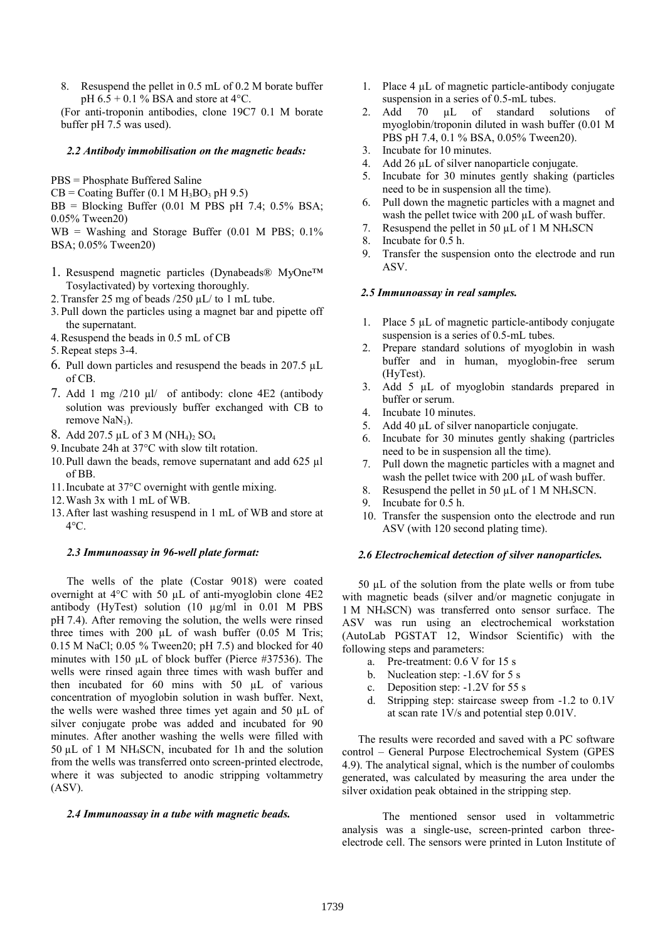8. Resuspend the pellet in 0.5 mL of 0.2 M borate buffer pH  $6.5 + 0.1$  % BSA and store at 4 °C.

(For anti-troponin antibodies, clone 19C7 0.1 M borate buffer pH 7.5 was used).

#### *2.2 Antibody immobilisation on the magnetic beads:*

- PBS = Phosphate Buffered Saline
- $CB = Coating Buffer (0.1 M H<sub>3</sub>BO<sub>3</sub> pH 9.5)$

 $BB = Blocking$  Buffer (0.01 M PBS pH 7.4; 0.5% BSA; 0.05% Tween20)

- $WB = Washington$  and Storage Buffer (0.01 M PBS; 0.1%) BSA; 0.05% Tween20)
- 1. Resuspend magnetic particles (Dynabeads® MyOne™ Tosylactivated) by vortexing thoroughly.
- 2.Transfer 25 mg of beads /250 µL/ to 1 mL tube.
- 3.Pull down the particles using a magnet bar and pipette off the supernatant.
- 4.Resuspend the beads in 0.5 mL of CB
- 5.Repeat steps 3-4.
- 6. Pull down particles and resuspend the beads in 207.5 µL of CB.
- 7. Add 1 mg /210 µl/ of antibody: clone 4E2 (antibody solution was previously buffer exchanged with CB to remove NaN<sub>3</sub>).
- 8. Add 207.5 µL of 3 M (NH<sub>4</sub>)<sub>2</sub> SO<sub>4</sub>
- 9.Incubate 24h at 37°C with slow tilt rotation.
- 10.Pull dawn the beads, remove supernatant and add 625 µl of BB.
- 11.Incubate at 37°C overnight with gentle mixing.
- 12.Wash 3x with 1 mL of WB.
- 13.After last washing resuspend in 1 mL of WB and store at  $4^{\circ}$ C.

### *2.3 Immunoassay in 96-well plate format:*

The wells of the plate (Costar 9018) were coated overnight at  $4^{\circ}$ C with 50 µL of anti-myoglobin clone  $4E2$ antibody (HyTest) solution (10 µg/ml in 0.01 M PBS pH 7.4). After removing the solution, the wells were rinsed three times with  $200 \mu L$  of wash buffer  $(0.05 \text{ M} \text{ Tris})$ ; 0.15 M NaCl; 0.05 % Tween20; pH 7.5) and blocked for 40 minutes with 150 µL of block buffer (Pierce #37536). The wells were rinsed again three times with wash buffer and then incubated for 60 mins with 50 µL of various concentration of myoglobin solution in wash buffer. Next, the wells were washed three times yet again and 50 µL of silver conjugate probe was added and incubated for 90 minutes. After another washing the wells were filled with 50 µL of 1 M NH4SCN, incubated for 1h and the solution from the wells was transferred onto screen-printed electrode, where it was subjected to anodic stripping voltammetry (ASV).

#### *2.4 Immunoassay in a tube with magnetic beads.*

- 1. Place 4 µL of magnetic particle-antibody conjugate suspension in a series of 0.5-mL tubes.
- 2. Add 70  $\mu$ L of standard solutions of myoglobin/troponin diluted in wash buffer (0.01 M PBS pH 7.4, 0.1 % BSA, 0.05% Tween20).
- 3. Incubate for 10 minutes.
- 4. Add 26 µL of silver nanoparticle conjugate.
- 5. Incubate for 30 minutes gently shaking (particles need to be in suspension all the time).
- 6. Pull down the magnetic particles with a magnet and wash the pellet twice with 200  $\mu$ L of wash buffer.
- 7. Resuspend the pellet in 50  $\mu$ L of 1 M NH<sub>4</sub>SCN
- 8. Incubate for 0.5 h.
- 9. Transfer the suspension onto the electrode and run ASV.

#### *2.5 Immunoassay in real samples.*

- 1. Place 5 µL of magnetic particle-antibody conjugate suspension is a series of 0.5-mL tubes.
- 2. Prepare standard solutions of myoglobin in wash buffer and in human, myoglobin-free serum (HyTest).
- 3. Add 5 µL of myoglobin standards prepared in buffer or serum.
- 4. Incubate 10 minutes.
- 5. Add 40 µL of silver nanoparticle conjugate.
- 6. Incubate for 30 minutes gently shaking (partricles need to be in suspension all the time).
- 7. Pull down the magnetic particles with a magnet and wash the pellet twice with 200 µL of wash buffer.
- 8. Resuspend the pellet in 50 µL of 1 M NH4SCN.
- 9. Incubate for 0.5 h.
- 10. Transfer the suspension onto the electrode and run ASV (with 120 second plating time).

# *2.6 Electrochemical detection of silver nanoparticles.*

50 µL of the solution from the plate wells or from tube with magnetic beads (silver and/or magnetic conjugate in 1 M NH4SCN) was transferred onto sensor surface. The ASV was run using an electrochemical workstation (AutoLab PGSTAT 12, Windsor Scientific) with the following steps and parameters:

- a. Pre-treatment: 0.6 V for 15 s
- b. Nucleation step: -1.6V for 5 s
- c. Deposition step: -1.2V for 55 s
- d. Stripping step: staircase sweep from -1.2 to 0.1V at scan rate 1V/s and potential step 0.01V.

The results were recorded and saved with a PC software control – General Purpose Electrochemical System (GPES 4.9). The analytical signal, which is the number of coulombs generated, was calculated by measuring the area under the silver oxidation peak obtained in the stripping step.

The mentioned sensor used in voltammetric analysis was a single-use, screen-printed carbon threeelectrode cell. The sensors were printed in Luton Institute of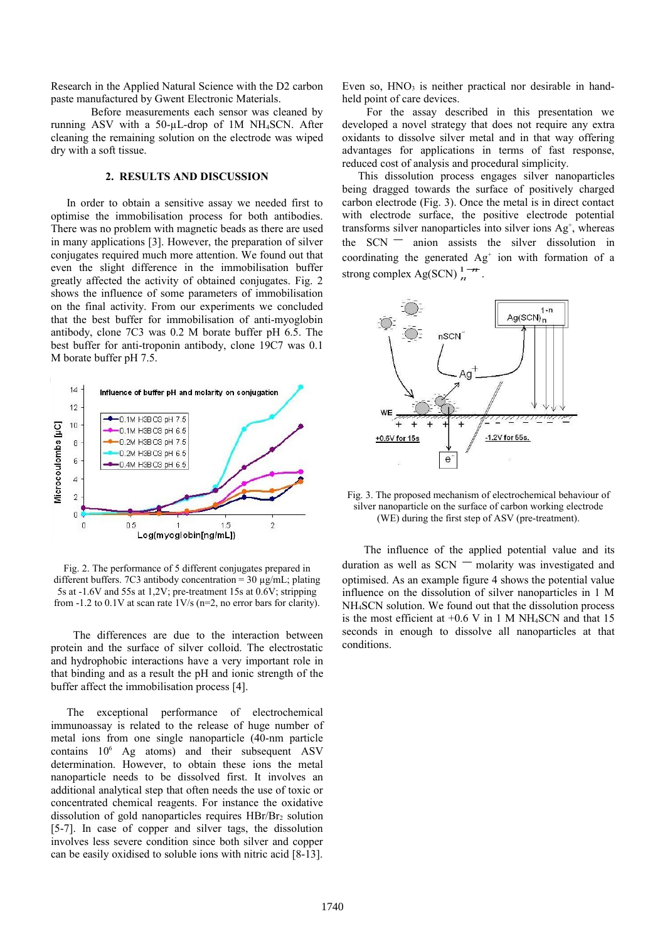Research in the Applied Natural Science with the D2 carbon paste manufactured by Gwent Electronic Materials.

Before measurements each sensor was cleaned by running ASV with a 50- $\mu$ L-drop of 1M NH<sub>4</sub>SCN. After cleaning the remaining solution on the electrode was wiped dry with a soft tissue.

# **2. RESULTS AND DISCUSSION**

In order to obtain a sensitive assay we needed first to optimise the immobilisation process for both antibodies. There was no problem with magnetic beads as there are used in many applications [3]. However, the preparation of silver conjugates required much more attention. We found out that even the slight difference in the immobilisation buffer greatly affected the activity of obtained conjugates. Fig. 2 shows the influence of some parameters of immobilisation on the final activity. From our experiments we concluded that the best buffer for immobilisation of anti-myoglobin antibody, clone 7C3 was 0.2 M borate buffer pH 6.5. The best buffer for anti-troponin antibody, clone 19C7 was 0.1 M borate buffer pH 7.5.



Fig. 2. The performance of 5 different conjugates prepared in different buffers. 7C3 antibody concentration = 30 µg/mL; plating 5s at -1.6V and 55s at 1,2V; pre-treatment 15s at 0.6V; stripping from -1.2 to 0.1V at scan rate 1V/s (n=2, no error bars for clarity).

 The differences are due to the interaction between protein and the surface of silver colloid. The electrostatic and hydrophobic interactions have a very important role in that binding and as a result the pH and ionic strength of the buffer affect the immobilisation process [4].

The exceptional performance of electrochemical immunoassay is related to the release of huge number of metal ions from one single nanoparticle (40-nm particle contains  $10^6$  Ag atoms) and their subsequent ASV determination. However, to obtain these ions the metal nanoparticle needs to be dissolved first. It involves an additional analytical step that often needs the use of toxic or concentrated chemical reagents. For instance the oxidative dissolution of gold nanoparticles requires  $HBr/Br<sub>2</sub>$  solution [5-7]. In case of copper and silver tags, the dissolution involves less severe condition since both silver and copper can be easily oxidised to soluble ions with nitric acid [8-13]. Even so,  $HNO<sub>3</sub>$  is neither practical nor desirable in handheld point of care devices.

 For the assay described in this presentation we developed a novel strategy that does not require any extra oxidants to dissolve silver metal and in that way offering advantages for applications in terms of fast response, reduced cost of analysis and procedural simplicity.

This dissolution process engages silver nanoparticles being dragged towards the surface of positively charged carbon electrode (Fig. 3). Once the metal is in direct contact with electrode surface, the positive electrode potential transforms silver nanoparticles into silver ions  $Ag^+$ , whereas transforms silver nanoparticles into silver lons  $Ag$ , whereas the SCN  $\equiv$  anion assists the silver dissolution in coordinating the generated  $Ag<sup>+</sup>$  ion with formation of a coordinating the generated Ag<br>strong complex Ag(SCN)  $\frac{1-n}{n}$ .



Fig. 3. The proposed mechanism of electrochemical behaviour of silver nanoparticle on the surface of carbon working electrode (WE) during the first step of ASV (pre-treatment).

 The influence of the applied potential value and its The influence of the applied potential value and its<br>duration as well as  $SCN$  – molarity was investigated and optimised. As an example figure 4 shows the potential value influence on the dissolution of silver nanoparticles in 1 M NH4SCN solution. We found out that the dissolution process is the most efficient at  $+0.6$  V in 1 M NH<sub>4</sub>SCN and that 15 seconds in enough to dissolve all nanoparticles at that conditions.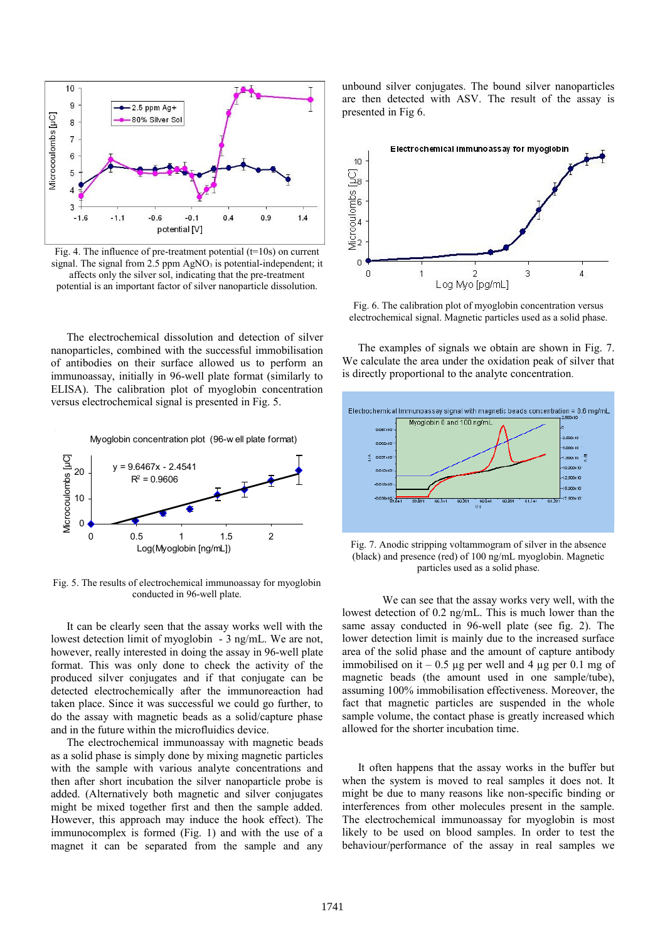

Fig. 4. The influence of pre-treatment potential  $(t=10s)$  on current signal. The signal from  $2.5$  ppm AgNO<sub>3</sub> is potential-independent; it affects only the silver sol, indicating that the pre-treatment potential is an important factor of silver nanoparticle dissolution.

The electrochemical dissolution and detection of silver nanoparticles, combined with the successful immobilisation of antibodies on their surface allowed us to perform an immunoassay, initially in 96-well plate format (similarly to ELISA). The calibration plot of myoglobin concentration versus electrochemical signal is presented in Fig. 5.



Fig. 5. The results of electrochemical immunoassay for myoglobin conducted in 96-well plate.

It can be clearly seen that the assay works well with the lowest detection limit of myoglobin - 3 ng/mL. We are not, however, really interested in doing the assay in 96-well plate format. This was only done to check the activity of the produced silver conjugates and if that conjugate can be detected electrochemically after the immunoreaction had taken place. Since it was successful we could go further, to do the assay with magnetic beads as a solid/capture phase and in the future within the microfluidics device.

The electrochemical immunoassay with magnetic beads as a solid phase is simply done by mixing magnetic particles with the sample with various analyte concentrations and then after short incubation the silver nanoparticle probe is added. (Alternatively both magnetic and silver conjugates might be mixed together first and then the sample added. However, this approach may induce the hook effect). The immunocomplex is formed (Fig. 1) and with the use of a magnet it can be separated from the sample and any unbound silver conjugates. The bound silver nanoparticles are then detected with ASV. The result of the assay is presented in Fig 6.



Fig. 6. The calibration plot of myoglobin concentration versus electrochemical signal. Magnetic particles used as a solid phase.

The examples of signals we obtain are shown in Fig. 7. We calculate the area under the oxidation peak of silver that is directly proportional to the analyte concentration.



Fig. 7. Anodic stripping voltammogram of silver in the absence (black) and presence (red) of 100 ng/mL myoglobin. Magnetic particles used as a solid phase.

We can see that the assay works very well, with the lowest detection of 0.2 ng/mL. This is much lower than the same assay conducted in 96-well plate (see fig. 2). The lower detection limit is mainly due to the increased surface area of the solid phase and the amount of capture antibody immobilised on it – 0.5  $\mu$ g per well and 4  $\mu$ g per 0.1 mg of magnetic beads (the amount used in one sample/tube), assuming 100% immobilisation effectiveness. Moreover, the fact that magnetic particles are suspended in the whole sample volume, the contact phase is greatly increased which allowed for the shorter incubation time.

It often happens that the assay works in the buffer but when the system is moved to real samples it does not. It might be due to many reasons like non-specific binding or interferences from other molecules present in the sample. The electrochemical immunoassay for myoglobin is most likely to be used on blood samples. In order to test the behaviour/performance of the assay in real samples we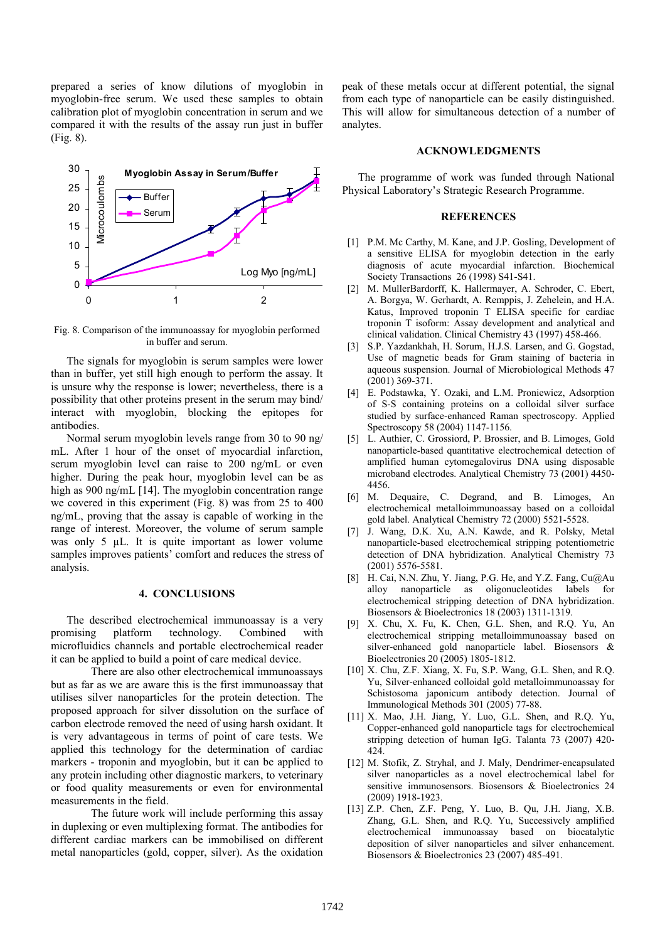prepared a series of know dilutions of myoglobin in myoglobin-free serum. We used these samples to obtain calibration plot of myoglobin concentration in serum and we compared it with the results of the assay run just in buffer (Fig. 8).



Fig. 8. Comparison of the immunoassay for myoglobin performed in buffer and serum.

The signals for myoglobin is serum samples were lower than in buffer, yet still high enough to perform the assay. It is unsure why the response is lower; nevertheless, there is a possibility that other proteins present in the serum may bind/ interact with myoglobin, blocking the epitopes for antibodies.

Normal serum myoglobin levels range from 30 to 90 ng/ mL. After 1 hour of the onset of myocardial infarction, serum myoglobin level can raise to 200 ng/mL or even higher. During the peak hour, myoglobin level can be as high as 900 ng/mL [14]. The myoglobin concentration range we covered in this experiment (Fig. 8) was from 25 to 400 ng/mL, proving that the assay is capable of working in the range of interest. Moreover, the volume of serum sample was only 5  $\mu$ L. It is quite important as lower volume samples improves patients' comfort and reduces the stress of analysis.

## **4. CONCLUSIONS**

The described electrochemical immunoassay is a very promising platform technology. Combined with microfluidics channels and portable electrochemical reader it can be applied to build a point of care medical device.

There are also other electrochemical immunoassays but as far as we are aware this is the first immunoassay that utilises silver nanoparticles for the protein detection. The proposed approach for silver dissolution on the surface of carbon electrode removed the need of using harsh oxidant. It is very advantageous in terms of point of care tests. We applied this technology for the determination of cardiac markers - troponin and myoglobin, but it can be applied to any protein including other diagnostic markers, to veterinary or food quality measurements or even for environmental measurements in the field.

The future work will include performing this assay in duplexing or even multiplexing format. The antibodies for different cardiac markers can be immobilised on different metal nanoparticles (gold, copper, silver). As the oxidation peak of these metals occur at different potential, the signal from each type of nanoparticle can be easily distinguished. This will allow for simultaneous detection of a number of analytes.

#### **ACKNOWLEDGMENTS**

The programme of work was funded through National Physical Laboratory's Strategic Research Programme.

## **REFERENCES**

- [1] P.M. Mc Carthy, M. Kane, and J.P. Gosling, Development of a sensitive ELISA for myoglobin detection in the early diagnosis of acute myocardial infarction. Biochemical Society Transactions 26 (1998) S41-S41.
- [2] M. MullerBardorff, K. Hallermayer, A. Schroder, C. Ebert, A. Borgya, W. Gerhardt, A. Remppis, J. Zehelein, and H.A. Katus, Improved troponin T ELISA specific for cardiac troponin T isoform: Assay development and analytical and clinical validation. Clinical Chemistry 43 (1997) 458-466.
- [3] S.P. Yazdankhah, H. Sorum, H.J.S. Larsen, and G. Gogstad, Use of magnetic beads for Gram staining of bacteria in aqueous suspension. Journal of Microbiological Methods 47 (2001) 369-371.
- [4] E. Podstawka, Y. Ozaki, and L.M. Proniewicz, Adsorption of S-S containing proteins on a colloidal silver surface studied by surface-enhanced Raman spectroscopy. Applied Spectroscopy 58 (2004) 1147-1156.
- [5] L. Authier, C. Grossiord, P. Brossier, and B. Limoges, Gold nanoparticle-based quantitative electrochemical detection of amplified human cytomegalovirus DNA using disposable microband electrodes. Analytical Chemistry 73 (2001) 4450- 4456.
- [6] M. Dequaire, C. Degrand, and B. Limoges, An electrochemical metalloimmunoassay based on a colloidal gold label. Analytical Chemistry 72 (2000) 5521-5528.
- [7] J. Wang, D.K. Xu, A.N. Kawde, and R. Polsky, Metal nanoparticle-based electrochemical stripping potentiometric detection of DNA hybridization. Analytical Chemistry 73 (2001) 5576-5581.
- [8] H. Cai, N.N. Zhu, Y. Jiang, P.G. He, and Y.Z. Fang, Cu@Au alloy nanoparticle as oligonucleotides labels electrochemical stripping detection of DNA hybridization. Biosensors & Bioelectronics 18 (2003) 1311-1319.
- [9] X. Chu, X. Fu, K. Chen, G.L. Shen, and R.Q. Yu, An electrochemical stripping metalloimmunoassay based on silver-enhanced gold nanoparticle label. Biosensors & Bioelectronics 20 (2005) 1805-1812.
- [10] X. Chu, Z.F. Xiang, X. Fu, S.P. Wang, G.L. Shen, and R.Q. Yu, Silver-enhanced colloidal gold metalloimmunoassay for Schistosoma japonicum antibody detection. Journal of Immunological Methods 301 (2005) 77-88.
- [11] X. Mao, J.H. Jiang, Y. Luo, G.L. Shen, and R.Q. Yu, Copper-enhanced gold nanoparticle tags for electrochemical stripping detection of human IgG. Talanta 73 (2007) 420- 424.
- [12] M. Stofik, Z. Stryhal, and J. Maly, Dendrimer-encapsulated silver nanoparticles as a novel electrochemical label for sensitive immunosensors. Biosensors & Bioelectronics 24 (2009) 1918-1923.
- [13] Z.P. Chen, Z.F. Peng, Y. Luo, B. Qu, J.H. Jiang, X.B. Zhang, G.L. Shen, and R.Q. Yu, Successively amplified electrochemical immunoassay based on biocatalytic deposition of silver nanoparticles and silver enhancement. Biosensors & Bioelectronics 23 (2007) 485-491.